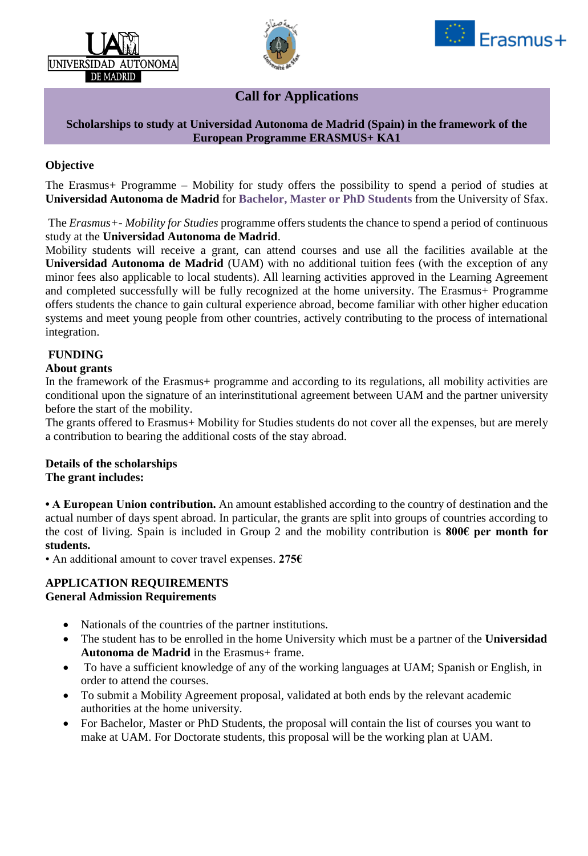





# **Call for Applications**

#### **Scholarships to study at Universidad Autonoma de Madrid (Spain) in the framework of the European Programme ERASMUS+ KA1**

## **Objective**

The Erasmus+ Programme – Mobility for study offers the possibility to spend a period of studies at **Universidad Autonoma de Madrid** for **Bachelor, Master or PhD Students** from the University of Sfax.

The *Erasmus+- Mobility for Studies* programme offers students the chance to spend a period of continuous study at the **Universidad Autonoma de Madrid**.

Mobility students will receive a grant, can attend courses and use all the facilities available at the **Universidad Autonoma de Madrid** (UAM) with no additional tuition fees (with the exception of any minor fees also applicable to local students). All learning activities approved in the Learning Agreement and completed successfully will be fully recognized at the home university. The Erasmus+ Programme offers students the chance to gain cultural experience abroad, become familiar with other higher education systems and meet young people from other countries, actively contributing to the process of international integration.

### **FUNDING**

#### **About grants**

In the framework of the Erasmus+ programme and according to its regulations, all mobility activities are conditional upon the signature of an interinstitutional agreement between UAM and the partner university before the start of the mobility.

The grants offered to Erasmus+ Mobility for Studies students do not cover all the expenses, but are merely a contribution to bearing the additional costs of the stay abroad.

#### **Details of the scholarships The grant includes:**

**• A European Union contribution.** An amount established according to the country of destination and the actual number of days spent abroad. In particular, the grants are split into groups of countries according to the cost of living. Spain is included in Group 2 and the mobility contribution is **800€ per month for students.**

• An additional amount to cover travel expenses. **275€**

#### **APPLICATION REQUIREMENTS General Admission Requirements**

- Nationals of the countries of the partner institutions.
- The student has to be enrolled in the home University which must be a partner of the **Universidad Autonoma de Madrid** in the Erasmus+ frame.
- To have a sufficient knowledge of any of the working languages at UAM; Spanish or English, in order to attend the courses.
- To submit a Mobility Agreement proposal, validated at both ends by the relevant academic authorities at the home university.
- For Bachelor, Master or PhD Students, the proposal will contain the list of courses you want to make at UAM. For Doctorate students, this proposal will be the working plan at UAM.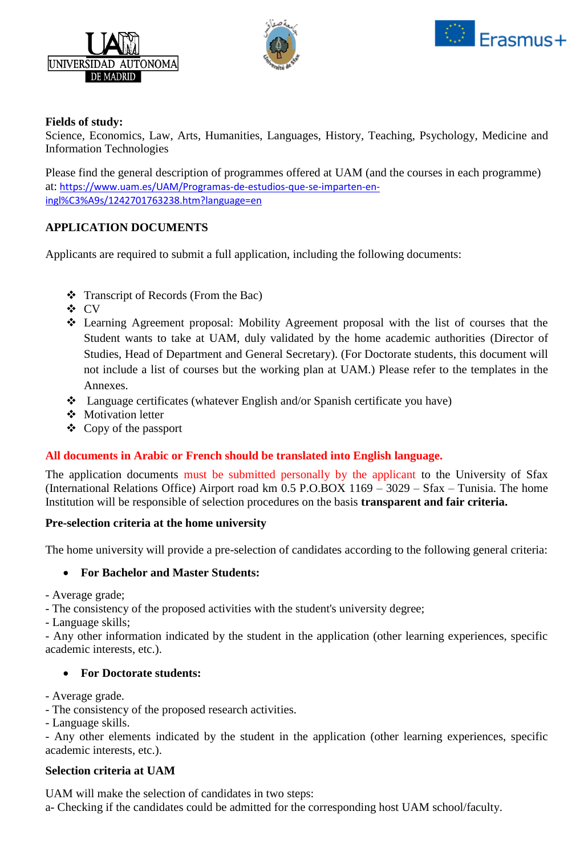





### **Fields of study:**

Science, Economics, Law, Arts, Humanities, Languages, History, Teaching, Psychology, Medicine and Information Technologies

Please find the general description of programmes offered at UAM (and the courses in each programme) at: [https://www.uam.es/UAM/Programas-de-estudios-que-se-imparten-en](https://www.uam.es/UAM/Programas-de-estudios-que-se-imparten-en-ingl%C3%A9s/1242701763238.htm?language=en)[ingl%C3%A9s/1242701763238.htm?language=en](https://www.uam.es/UAM/Programas-de-estudios-que-se-imparten-en-ingl%C3%A9s/1242701763238.htm?language=en)

# **APPLICATION DOCUMENTS**

Applicants are required to submit a full application, including the following documents:

- Transcript of Records (From the Bac)
- CV
- Learning Agreement proposal: Mobility Agreement proposal with the list of courses that the Student wants to take at UAM, duly validated by the home academic authorities (Director of Studies, Head of Department and General Secretary). (For Doctorate students, this document will not include a list of courses but the working plan at UAM.) Please refer to the templates in the Annexes.
- Language certificates (whatever English and/or Spanish certificate you have)
- ❖ Motivation letter
- $\triangleleft$  Copy of the passport

### **All documents in Arabic or French should be translated into English language.**

The application documents must be submitted personally by the applicant to the University of Sfax (International Relations Office) Airport road km 0.5 P.O.BOX 1169 – 3029 – Sfax – Tunisia. The home Institution will be responsible of selection procedures on the basis **transparent and fair criteria.**

### **Pre-selection criteria at the home university**

The home university will provide a pre-selection of candidates according to the following general criteria:

### **For Bachelor and Master Students:**

- Average grade;

- The consistency of the proposed activities with the student's university degree;

- Language skills;

- Any other information indicated by the student in the application (other learning experiences, specific academic interests, etc.).

### **For Doctorate students:**

- Average grade.

- The consistency of the proposed research activities.

- Language skills.

- Any other elements indicated by the student in the application (other learning experiences, specific academic interests, etc.).

### **Selection criteria at UAM**

UAM will make the selection of candidates in two steps:

a- Checking if the candidates could be admitted for the corresponding host UAM school/faculty.